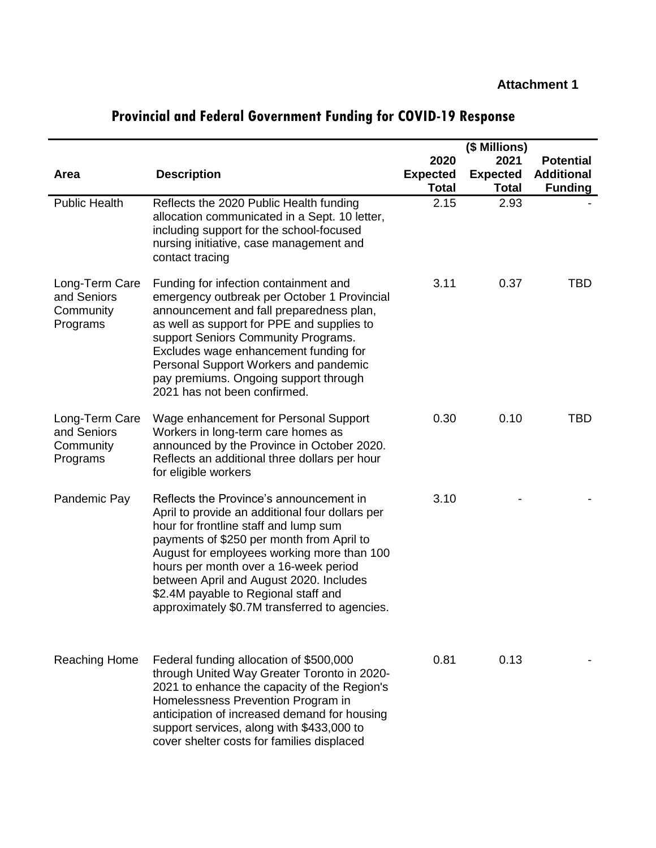|                                                        |                                                                                                                                                                                                                                                                                                                                                                                                             |                                 | (\$ Millions)                   |                                     |
|--------------------------------------------------------|-------------------------------------------------------------------------------------------------------------------------------------------------------------------------------------------------------------------------------------------------------------------------------------------------------------------------------------------------------------------------------------------------------------|---------------------------------|---------------------------------|-------------------------------------|
|                                                        |                                                                                                                                                                                                                                                                                                                                                                                                             | 2020                            | 2021                            | <b>Potential</b>                    |
| <b>Area</b>                                            | <b>Description</b>                                                                                                                                                                                                                                                                                                                                                                                          | <b>Expected</b><br><b>Total</b> | <b>Expected</b><br><b>Total</b> | <b>Additional</b><br><b>Funding</b> |
| <b>Public Health</b>                                   | Reflects the 2020 Public Health funding<br>allocation communicated in a Sept. 10 letter,<br>including support for the school-focused<br>nursing initiative, case management and<br>contact tracing                                                                                                                                                                                                          | 2.15                            | 2.93                            |                                     |
| Long-Term Care<br>and Seniors<br>Community<br>Programs | Funding for infection containment and<br>emergency outbreak per October 1 Provincial<br>announcement and fall preparedness plan,<br>as well as support for PPE and supplies to<br>support Seniors Community Programs.<br>Excludes wage enhancement funding for<br>Personal Support Workers and pandemic<br>pay premiums. Ongoing support through<br>2021 has not been confirmed.                            | 3.11                            | 0.37                            | TBD                                 |
| Long-Term Care<br>and Seniors<br>Community<br>Programs | Wage enhancement for Personal Support<br>Workers in long-term care homes as<br>announced by the Province in October 2020.<br>Reflects an additional three dollars per hour<br>for eligible workers                                                                                                                                                                                                          | 0.30                            | 0.10                            | TBD                                 |
| Pandemic Pay                                           | Reflects the Province's announcement in<br>April to provide an additional four dollars per<br>hour for frontline staff and lump sum<br>payments of \$250 per month from April to<br>August for employees working more than 100<br>hours per month over a 16-week period<br>between April and August 2020. Includes<br>\$2.4M payable to Regional staff and<br>approximately \$0.7M transferred to agencies. | 3.10                            |                                 |                                     |
| <b>Reaching Home</b>                                   | Federal funding allocation of \$500,000<br>through United Way Greater Toronto in 2020-<br>2021 to enhance the capacity of the Region's<br>Homelessness Prevention Program in<br>anticipation of increased demand for housing<br>support services, along with \$433,000 to<br>cover shelter costs for families displaced                                                                                     | 0.81                            | 0.13                            |                                     |

## **Provincial and Federal Government Funding for COVID-19 Response**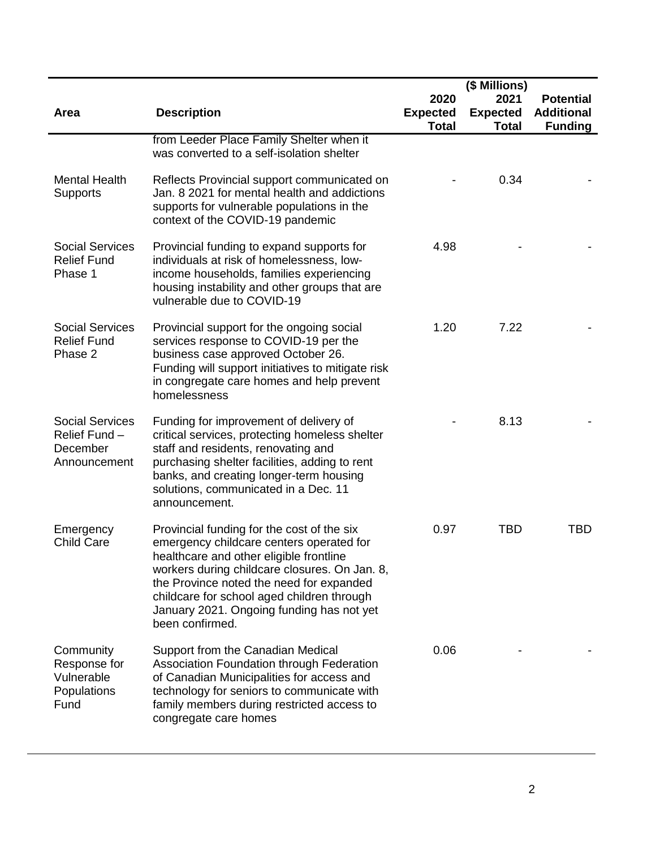|                                                                     |                                                                                                                                                                                                                                                                                                                                              |                                         | (\$ Millions)                           |                                                         |
|---------------------------------------------------------------------|----------------------------------------------------------------------------------------------------------------------------------------------------------------------------------------------------------------------------------------------------------------------------------------------------------------------------------------------|-----------------------------------------|-----------------------------------------|---------------------------------------------------------|
| <b>Area</b>                                                         | <b>Description</b>                                                                                                                                                                                                                                                                                                                           | 2020<br><b>Expected</b><br><b>Total</b> | 2021<br><b>Expected</b><br><b>Total</b> | <b>Potential</b><br><b>Additional</b><br><b>Funding</b> |
|                                                                     | from Leeder Place Family Shelter when it<br>was converted to a self-isolation shelter                                                                                                                                                                                                                                                        |                                         |                                         |                                                         |
| <b>Mental Health</b><br><b>Supports</b>                             | Reflects Provincial support communicated on<br>Jan. 8 2021 for mental health and addictions<br>supports for vulnerable populations in the<br>context of the COVID-19 pandemic                                                                                                                                                                |                                         | 0.34                                    |                                                         |
| <b>Social Services</b><br><b>Relief Fund</b><br>Phase 1             | Provincial funding to expand supports for<br>individuals at risk of homelessness, low-<br>income households, families experiencing<br>housing instability and other groups that are<br>vulnerable due to COVID-19                                                                                                                            | 4.98                                    |                                         |                                                         |
| <b>Social Services</b><br><b>Relief Fund</b><br>Phase 2             | Provincial support for the ongoing social<br>services response to COVID-19 per the<br>business case approved October 26.<br>Funding will support initiatives to mitigate risk<br>in congregate care homes and help prevent<br>homelessness                                                                                                   | 1.20                                    | 7.22                                    |                                                         |
| <b>Social Services</b><br>Relief Fund -<br>December<br>Announcement | Funding for improvement of delivery of<br>critical services, protecting homeless shelter<br>staff and residents, renovating and<br>purchasing shelter facilities, adding to rent<br>banks, and creating longer-term housing<br>solutions, communicated in a Dec. 11<br>announcement.                                                         |                                         | 8.13                                    |                                                         |
| Emergency<br><b>Child Care</b>                                      | Provincial funding for the cost of the six<br>emergency childcare centers operated for<br>healthcare and other eligible frontline<br>workers during childcare closures. On Jan. 8,<br>the Province noted the need for expanded<br>childcare for school aged children through<br>January 2021. Ongoing funding has not yet<br>been confirmed. | 0.97                                    | <b>TBD</b>                              | <b>TBD</b>                                              |
| Community<br>Response for<br>Vulnerable<br>Populations<br>Fund      | Support from the Canadian Medical<br>Association Foundation through Federation<br>of Canadian Municipalities for access and<br>technology for seniors to communicate with<br>family members during restricted access to<br>congregate care homes                                                                                             | 0.06                                    |                                         |                                                         |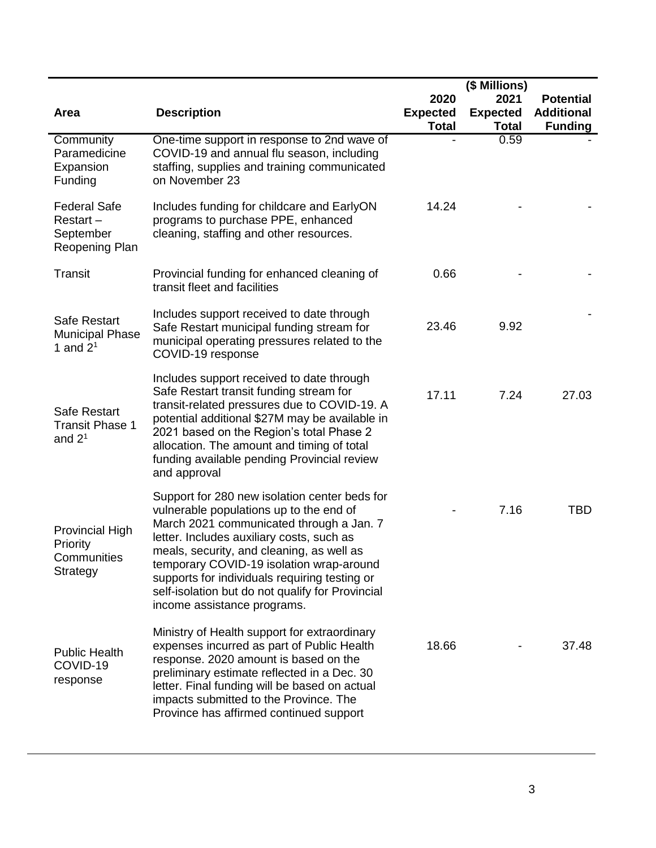|                                                                |                                                                                                                                                                                                                                                                                                                                                                                                                |                                         | (\$ Millions)                           |                                                         |
|----------------------------------------------------------------|----------------------------------------------------------------------------------------------------------------------------------------------------------------------------------------------------------------------------------------------------------------------------------------------------------------------------------------------------------------------------------------------------------------|-----------------------------------------|-----------------------------------------|---------------------------------------------------------|
| <b>Area</b>                                                    | <b>Description</b>                                                                                                                                                                                                                                                                                                                                                                                             | 2020<br><b>Expected</b><br><b>Total</b> | 2021<br><b>Expected</b><br><b>Total</b> | <b>Potential</b><br><b>Additional</b><br><b>Funding</b> |
| Community<br>Paramedicine<br>Expansion<br>Funding              | One-time support in response to 2nd wave of<br>COVID-19 and annual flu season, including<br>staffing, supplies and training communicated<br>on November 23                                                                                                                                                                                                                                                     |                                         | 0.59                                    |                                                         |
| <b>Federal Safe</b><br>Restart-<br>September<br>Reopening Plan | Includes funding for childcare and EarlyON<br>programs to purchase PPE, enhanced<br>cleaning, staffing and other resources.                                                                                                                                                                                                                                                                                    | 14.24                                   |                                         |                                                         |
| <b>Transit</b>                                                 | Provincial funding for enhanced cleaning of<br>transit fleet and facilities                                                                                                                                                                                                                                                                                                                                    | 0.66                                    |                                         |                                                         |
| Safe Restart<br><b>Municipal Phase</b><br>1 and $2^1$          | Includes support received to date through<br>Safe Restart municipal funding stream for<br>municipal operating pressures related to the<br>COVID-19 response                                                                                                                                                                                                                                                    | 23.46                                   | 9.92                                    |                                                         |
| Safe Restart<br><b>Transit Phase 1</b><br>and $21$             | Includes support received to date through<br>Safe Restart transit funding stream for<br>transit-related pressures due to COVID-19. A<br>potential additional \$27M may be available in<br>2021 based on the Region's total Phase 2<br>allocation. The amount and timing of total<br>funding available pending Provincial review<br>and approval                                                                | 17.11                                   | 7.24                                    | 27.03                                                   |
| <b>Provincial High</b><br>Priority<br>Communities<br>Strategy  | Support for 280 new isolation center beds for<br>vulnerable populations up to the end of<br>March 2021 communicated through a Jan. 7<br>letter. Includes auxiliary costs, such as<br>meals, security, and cleaning, as well as<br>temporary COVID-19 isolation wrap-around<br>supports for individuals requiring testing or<br>self-isolation but do not qualify for Provincial<br>income assistance programs. |                                         | 7.16                                    | TBD                                                     |
| <b>Public Health</b><br>COVID-19<br>response                   | Ministry of Health support for extraordinary<br>expenses incurred as part of Public Health<br>response. 2020 amount is based on the<br>preliminary estimate reflected in a Dec. 30<br>letter. Final funding will be based on actual<br>impacts submitted to the Province. The<br>Province has affirmed continued support                                                                                       | 18.66                                   |                                         | 37.48                                                   |